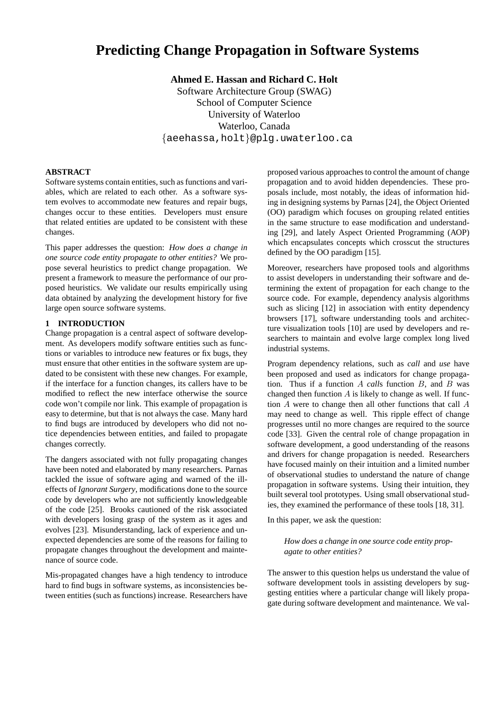# **Predicting Change Propagation in Software Systems**

**Ahmed E. Hassan and Richard C. Holt** Software Architecture Group (SWAG) School of Computer Science University of Waterloo Waterloo, Canada {aeehassa,holt}@plg.uwaterloo.ca

# **ABSTRACT**

Software systems contain entities, such as functions and variables, which are related to each other. As a software system evolves to accommodate new features and repair bugs, changes occur to these entities. Developers must ensure that related entities are updated to be consistent with these changes.

This paper addresses the question: *How does a change in one source code entity propagate to other entities?* We propose several heuristics to predict change propagation. We present a framework to measure the performance of our proposed heuristics. We validate our results empirically using data obtained by analyzing the development history for five large open source software systems.

#### **1 INTRODUCTION**

Change propagation is a central aspect of software development. As developers modify software entities such as functions or variables to introduce new features or fix bugs, they must ensure that other entities in the software system are updated to be consistent with these new changes. For example, if the interface for a function changes, its callers have to be modified to reflect the new interface otherwise the source code won't compile nor link. This example of propagation is easy to determine, but that is not always the case. Many hard to find bugs are introduced by developers who did not notice dependencies between entities, and failed to propagate changes correctly.

The dangers associated with not fully propagating changes have been noted and elaborated by many researchers. Parnas tackled the issue of software aging and warned of the illeffects of *Ignorant Surgery*, modifications done to the source code by developers who are not sufficiently knowledgeable of the code [25]. Brooks cautioned of the risk associated with developers losing grasp of the system as it ages and evolves [23]. Misunderstanding, lack of experience and unexpected dependencies are some of the reasons for failing to propagate changes throughout the development and maintenance of source code.

Mis-propagated changes have a high tendency to introduce hard to find bugs in software systems, as inconsistencies between entities (such as functions) increase. Researchers have proposed various approaches to control the amount of change propagation and to avoid hidden dependencies. These proposals include, most notably, the ideas of information hiding in designing systems by Parnas [24], the Object Oriented (OO) paradigm which focuses on grouping related entities in the same structure to ease modification and understanding [29], and lately Aspect Oriented Programming (AOP) which encapsulates concepts which crosscut the structures defined by the OO paradigm [15].

Moreover, researchers have proposed tools and algorithms to assist developers in understanding their software and determining the extent of propagation for each change to the source code. For example, dependency analysis algorithms such as slicing [12] in association with entity dependency browsers [17], software understanding tools and architecture visualization tools [10] are used by developers and researchers to maintain and evolve large complex long lived industrial systems.

Program dependency relations, such as *call* and *use* have been proposed and used as indicators for change propagation. Thus if a function A *call*s function B, and B was changed then function A is likely to change as well. If function A were to change then all other functions that call A may need to change as well. This ripple effect of change progresses until no more changes are required to the source code [33]. Given the central role of change propagation in software development, a good understanding of the reasons and drivers for change propagation is needed. Researchers have focused mainly on their intuition and a limited number of observational studies to understand the nature of change propagation in software systems. Using their intuition, they built several tool prototypes. Using small observational studies, they examined the performance of these tools [18, 31].

In this paper, we ask the question:

*How does a change in one source code entity propagate to other entities?*

The answer to this question helps us understand the value of software development tools in assisting developers by suggesting entities where a particular change will likely propagate during software development and maintenance. We val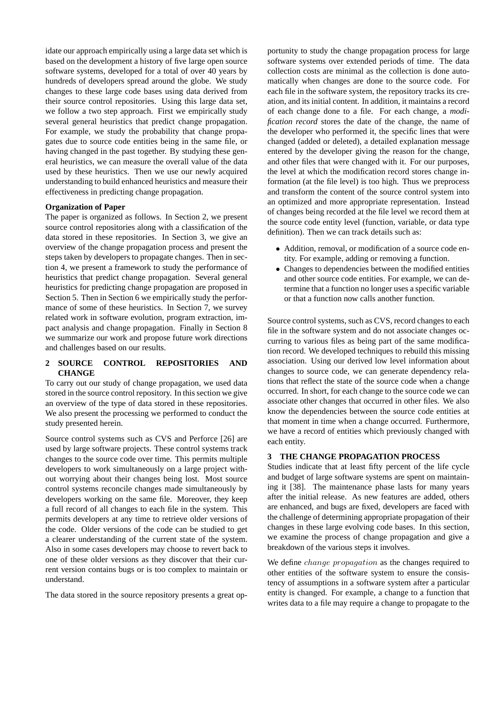idate our approach empirically using a large data set which is based on the development a history of five large open source software systems, developed for a total of over 40 years by hundreds of developers spread around the globe. We study changes to these large code bases using data derived from their source control repositories. Using this large data set, we follow a two step approach. First we empirically study several general heuristics that predict change propagation. For example, we study the probability that change propagates due to source code entities being in the same file, or having changed in the past together. By studying these general heuristics, we can measure the overall value of the data used by these heuristics. Then we use our newly acquired understanding to build enhanced heuristics and measure their effectiveness in predicting change propagation.

# **Organization of Paper**

The paper is organized as follows. In Section 2, we present source control repositories along with a classification of the data stored in these repositories. In Section 3, we give an overview of the change propagation process and present the steps taken by developers to propagate changes. Then in section 4, we present a framework to study the performance of heuristics that predict change propagation. Several general heuristics for predicting change propagation are proposed in Section 5. Then in Section 6 we empirically study the performance of some of these heuristics. In Section 7, we survey related work in software evolution, program extraction, impact analysis and change propagation. Finally in Section 8 we summarize our work and propose future work directions and challenges based on our results.

# **2 SOURCE CONTROL REPOSITORIES AND CHANGE**

To carry out our study of change propagation, we used data stored in the source control repository. In this section we give an overview of the type of data stored in these repositories. We also present the processing we performed to conduct the study presented herein.

Source control systems such as CVS and Perforce [26] are used by large software projects. These control systems track changes to the source code over time. This permits multiple developers to work simultaneously on a large project without worrying about their changes being lost. Most source control systems reconcile changes made simultaneously by developers working on the same file. Moreover, they keep a full record of all changes to each file in the system. This permits developers at any time to retrieve older versions of the code. Older versions of the code can be studied to get a clearer understanding of the current state of the system. Also in some cases developers may choose to revert back to one of these older versions as they discover that their current version contains bugs or is too complex to maintain or understand.

The data stored in the source repository presents a great op-

portunity to study the change propagation process for large software systems over extended periods of time. The data collection costs are minimal as the collection is done automatically when changes are done to the source code. For each file in the software system, the repository tracks its creation, and its initial content. In addition, it maintains a record of each change done to a file. For each change, a *modification record* stores the date of the change, the name of the developer who performed it, the specific lines that were changed (added or deleted), a detailed explanation message entered by the developer giving the reason for the change, and other files that were changed with it. For our purposes, the level at which the modification record stores change information (at the file level) is too high. Thus we preprocess and transform the content of the source control system into an optimized and more appropriate representation. Instead of changes being recorded at the file level we record them at the source code entity level (function, variable, or data type definition). Then we can track details such as:

- Addition, removal, or modification of a source code entity. For example, adding or removing a function.
- Changes to dependencies between the modified entities and other source code entities. For example, we can determine that a function no longer uses a specific variable or that a function now calls another function.

Source control systems, such as CVS, record changes to each file in the software system and do not associate changes occurring to various files as being part of the same modification record. We developed techniques to rebuild this missing association. Using our derived low level information about changes to source code, we can generate dependency relations that reflect the state of the source code when a change occurred. In short, for each change to the source code we can associate other changes that occurred in other files. We also know the dependencies between the source code entities at that moment in time when a change occurred. Furthermore, we have a record of entities which previously changed with each entity.

#### **3 THE CHANGE PROPAGATION PROCESS**

Studies indicate that at least fifty percent of the life cycle and budget of large software systems are spent on maintaining it [38]. The maintenance phase lasts for many years after the initial release. As new features are added, others are enhanced, and bugs are fixed, developers are faced with the challenge of determining appropriate propagation of their changes in these large evolving code bases. In this section, we examine the process of change propagation and give a breakdown of the various steps it involves.

We define *change propagation* as the changes required to other entities of the software system to ensure the consistency of assumptions in a software system after a particular entity is changed. For example, a change to a function that writes data to a file may require a change to propagate to the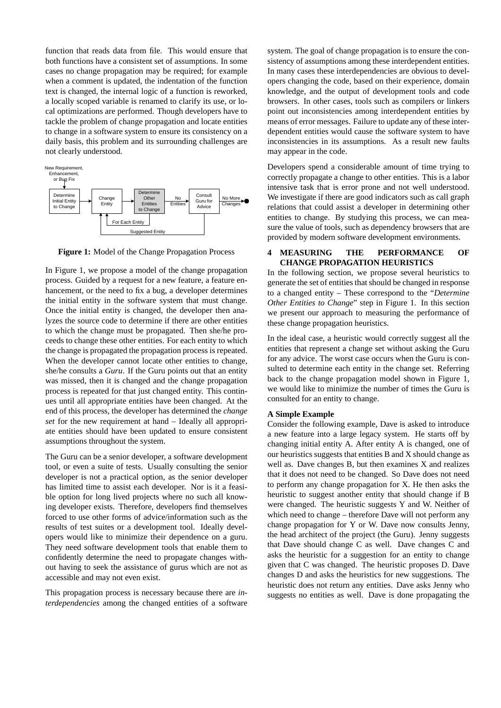function that reads data from file. This would ensure that both functions have a consistent set of assumptions. In some cases no change propagation may be required; for example when a comment is updated, the indentation of the function text is changed, the internal logic of a function is reworked, a locally scoped variable is renamed to clarify its use, or local optimizations are performed. Though developers have to tackle the problem of change propagation and locate entities to change in a software system to ensure its consistency on a daily basis, this problem and its surrounding challenges are not clearly understood.



**Figure 1:** Model of the Change Propagation Process

In Figure 1, we propose a model of the change propagation process. Guided by a request for a new feature, a feature enhancement, or the need to fix a bug, a developer determines the initial entity in the software system that must change. Once the initial entity is changed, the developer then analyzes the source code to determine if there are other entities to which the change must be propagated. Then she/he proceeds to change these other entities. For each entity to which the change is propagated the propagation process is repeated. When the developer cannot locate other entities to change, she/he consults a *Guru*. If the Guru points out that an entity was missed, then it is changed and the change propagation process is repeated for that just changed entity. This continues until all appropriate entities have been changed. At the end of this process, the developer has determined the *change set* for the new requirement at hand – Ideally all appropriate entities should have been updated to ensure consistent assumptions throughout the system.

The Guru can be a senior developer, a software development tool, or even a suite of tests. Usually consulting the senior developer is not a practical option, as the senior developer has limited time to assist each developer. Nor is it a feasible option for long lived projects where no such all knowing developer exists. Therefore, developers find themselves forced to use other forms of advice/information such as the results of test suites or a development tool. Ideally developers would like to minimize their dependence on a guru. They need software development tools that enable them to confidently determine the need to propagate changes without having to seek the assistance of gurus which are not as accessible and may not even exist.

This propagation process is necessary because there are *interdependencies* among the changed entities of a software system. The goal of change propagation is to ensure the consistency of assumptions among these interdependent entities. In many cases these interdependencies are obvious to developers changing the code, based on their experience, domain knowledge, and the output of development tools and code browsers. In other cases, tools such as compilers or linkers point out inconsistencies among interdependent entities by means of error messages. Failure to update any of these interdependent entities would cause the software system to have inconsistencies in its assumptions. As a result new faults may appear in the code.

Developers spend a considerable amount of time trying to correctly propagate a change to other entities. This is a labor intensive task that is error prone and not well understood. We investigate if there are good indicators such as call graph relations that could assist a developer in determining other entities to change. By studying this process, we can measure the value of tools, such as dependency browsers that are provided by modern software development environments.

# **4 MEASURING THE PERFORMANCE OF CHANGE PROPAGATION HEURISTICS**

In the following section, we propose several heuristics to generate the set of entities that should be changed in response to a changed entity – These correspond to the "*Determine Other Entities to Change*" step in Figure 1. In this section we present our approach to measuring the performance of these change propagation heuristics.

In the ideal case, a heuristic would correctly suggest all the entities that represent a change set without asking the Guru for any advice. The worst case occurs when the Guru is consulted to determine each entity in the change set. Referring back to the change propagation model shown in Figure 1, we would like to minimize the number of times the Guru is consulted for an entity to change.

# **A Simple Example**

Consider the following example, Dave is asked to introduce a new feature into a large legacy system. He starts off by changing initial entity A. After entity A is changed, one of our heuristics suggests that entities B and X should change as well as. Dave changes B, but then examines X and realizes that it does not need to be changed. So Dave does not need to perform any change propagation for X. He then asks the heuristic to suggest another entity that should change if B were changed. The heuristic suggests Y and W. Neither of which need to change – therefore Dave will not perform any change propagation for Y or W. Dave now consults Jenny, the head architect of the project (the Guru). Jenny suggests that Dave should change C as well. Dave changes C and asks the heuristic for a suggestion for an entity to change given that C was changed. The heuristic proposes D. Dave changes D and asks the heuristics for new suggestions. The heuristic does not return any entities. Dave asks Jenny who suggests no entities as well. Dave is done propagating the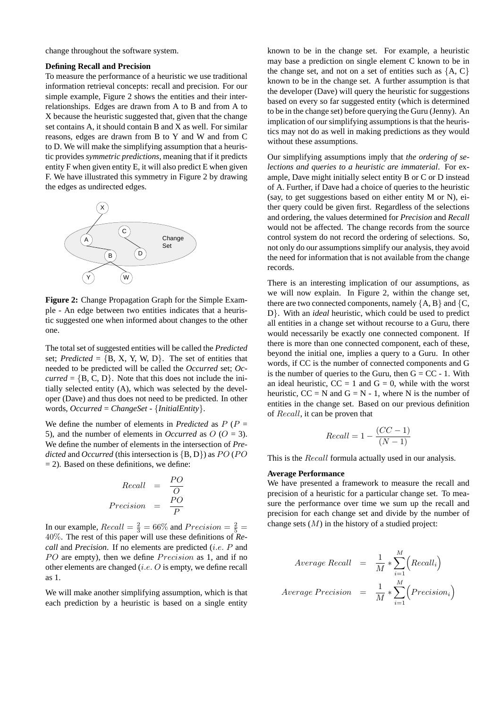change throughout the software system.

#### **Defining Recall and Precision**

To measure the performance of a heuristic we use traditional information retrieval concepts: recall and precision. For our simple example, Figure 2 shows the entities and their interrelationships. Edges are drawn from A to B and from A to X because the heuristic suggested that, given that the change set contains A, it should contain B and X as well. For similar reasons, edges are drawn from B to Y and W and from C to D. We will make the simplifying assumption that a heuristic provides *symmetric predictions*, meaning that if it predicts entity F when given entity E, it will also predict E when given F. We have illustrated this symmetry in Figure 2 by drawing the edges as undirected edges.



**Figure 2:** Change Propagation Graph for the Simple Example - An edge between two entities indicates that a heuristic suggested one when informed about changes to the other one.

The total set of suggested entities will be called the *Predicted* set; *Predicted* =  ${B, X, Y, W, D}$ . The set of entities that needed to be predicted will be called the *Occurred* set; *Occurred* =  ${B, C, D}$ . Note that this does not include the initially selected entity (A), which was selected by the developer (Dave) and thus does not need to be predicted. In other words, *Occurred* = *ChangeSet* - {*InitialEntity*}.

We define the number of elements in *Predicted* as  $P(P =$ 5), and the number of elements in *Occurred* as  $O$  ( $O = 3$ ). We define the number of elements in the intersection of *Predicted* and *Occurred* (this intersection is  ${B, D}$ ) as  $PO(PO)$  $= 2$ ). Based on these definitions, we define:

$$
Recall = \frac{PO}{O}
$$
  

$$
Precision = \frac{PO}{P}
$$

In our example,  $Recall = \frac{2}{3} = 66\%$  and  $Precision = \frac{2}{5}$ 40%. The rest of this paper will use these definitions of *Recall* and *Precision*. If no elements are predicted (i.e. P and PO are empty), then we define *Precision* as 1, and if no other elements are changed  $(i.e. O$  is empty, we define recall as 1.

We will make another simplifying assumption, which is that each prediction by a heuristic is based on a single entity

known to be in the change set. For example, a heuristic may base a prediction on single element C known to be in the change set, and not on a set of entities such as  ${A, C}$ known to be in the change set. A further assumption is that the developer (Dave) will query the heuristic for suggestions based on every so far suggested entity (which is determined to be in the change set) before querying the Guru (Jenny). An implication of our simplifying assumptions is that the heuristics may not do as well in making predictions as they would without these assumptions.

Our simplifying assumptions imply that *the ordering of selections and queries to a heuristic are immaterial*. For example, Dave might initially select entity B or C or D instead of A. Further, if Dave had a choice of queries to the heuristic (say, to get suggestions based on either entity M or N), either query could be given first. Regardless of the selections and ordering, the values determined for *Precision* and *Recall* would not be affected. The change records from the source control system do not record the ordering of selections. So, not only do our assumptions simplify our analysis, they avoid the need for information that is not available from the change records.

There is an interesting implication of our assumptions, as we will now explain. In Figure 2, within the change set, there are two connected components, namely  ${A, B}$  and  ${C, \nightharpoonup}$ D}. With an *ideal* heuristic, which could be used to predict all entities in a change set without recourse to a Guru, there would necessarily be exactly one connected component. If there is more than one connected component, each of these, beyond the initial one, implies a query to a Guru. In other words, if CC is the number of connected components and G is the number of queries to the Guru, then  $G = CC - 1$ . With an ideal heuristic,  $CC = 1$  and  $G = 0$ , while with the worst heuristic,  $CC = N$  and  $G = N - 1$ , where N is the number of entities in the change set. Based on our previous definition of Recall, it can be proven that

$$
Recall = 1 - \frac{(CC - 1)}{(N - 1)}
$$

This is the Recall formula actually used in our analysis.

#### **Average Performance**

We have presented a framework to measure the recall and precision of a heuristic for a particular change set. To measure the performance over time we sum up the recall and precision for each change set and divide by the number of change sets  $(M)$  in the history of a studied project:

$$
Average Recall = \frac{1}{M} * \sum_{i=1}^{M} (Recall_i)
$$
  

$$
Average Precision = \frac{1}{M} * \sum_{i=1}^{M} (Precision_i)
$$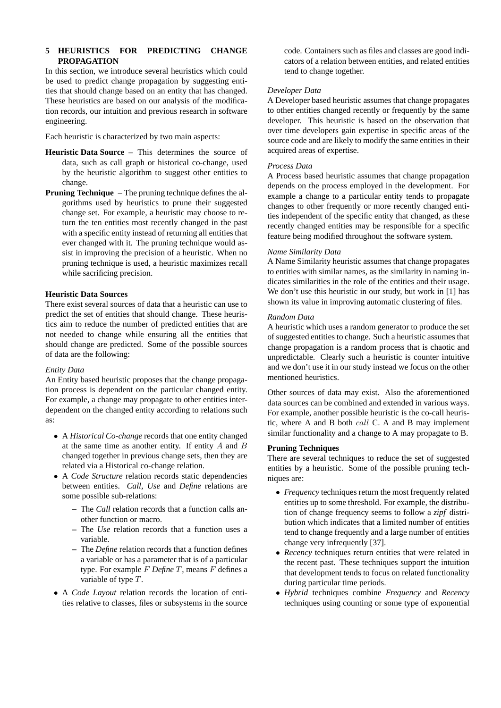# **5 HEURISTICS FOR PREDICTING CHANGE PROPAGATION**

In this section, we introduce several heuristics which could be used to predict change propagation by suggesting entities that should change based on an entity that has changed. These heuristics are based on our analysis of the modification records, our intuition and previous research in software engineering.

Each heuristic is characterized by two main aspects:

- **Heuristic Data Source** This determines the source of data, such as call graph or historical co-change, used by the heuristic algorithm to suggest other entities to change.
- **Pruning Technique** The pruning technique defines the algorithms used by heuristics to prune their suggested change set. For example, a heuristic may choose to return the ten entities most recently changed in the past with a specific entity instead of returning all entities that ever changed with it. The pruning technique would assist in improving the precision of a heuristic. When no pruning technique is used, a heuristic maximizes recall while sacrificing precision.

# **Heuristic Data Sources**

There exist several sources of data that a heuristic can use to predict the set of entities that should change. These heuristics aim to reduce the number of predicted entities that are not needed to change while ensuring all the entities that should change are predicted. Some of the possible sources of data are the following:

#### *Entity Data*

An Entity based heuristic proposes that the change propagation process is dependent on the particular changed entity. For example, a change may propagate to other entities interdependent on the changed entity according to relations such as:

- A *Historical Co-change* records that one entity changed at the same time as another entity. If entity  $A$  and  $B$ changed together in previous change sets, then they are related via a Historical co-change relation.
- A *Code Structure* relation records static dependencies between entities. *Call*, *Use* and *Define* relations are some possible sub-relations:
	- **–** The *Call* relation records that a function calls another function or macro.
	- **–** The *Use* relation records that a function uses a variable.
	- **–** The *Define* relation records that a function defines a variable or has a parameter that is of a particular type. For example F *Define* T, means F defines a variable of type T.
- A *Code Layout* relation records the location of entities relative to classes, files or subsystems in the source

code. Containers such as files and classes are good indicators of a relation between entities, and related entities tend to change together.

# *Developer Data*

A Developer based heuristic assumes that change propagates to other entities changed recently or frequently by the same developer. This heuristic is based on the observation that over time developers gain expertise in specific areas of the source code and are likely to modify the same entities in their acquired areas of expertise.

# *Process Data*

A Process based heuristic assumes that change propagation depends on the process employed in the development. For example a change to a particular entity tends to propagate changes to other frequently or more recently changed entities independent of the specific entity that changed, as these recently changed entities may be responsible for a specific feature being modified throughout the software system.

# *Name Similarity Data*

A Name Similarity heuristic assumes that change propagates to entities with similar names, as the similarity in naming indicates similarities in the role of the entities and their usage. We don't use this heuristic in our study, but work in [1] has shown its value in improving automatic clustering of files.

# *Random Data*

A heuristic which uses a random generator to produce the set of suggested entities to change. Such a heuristic assumes that change propagation is a random process that is chaotic and unpredictable. Clearly such a heuristic is counter intuitive and we don't use it in our study instead we focus on the other mentioned heuristics.

Other sources of data may exist. Also the aforementioned data sources can be combined and extended in various ways. For example, another possible heuristic is the co-call heuristic, where A and B both call C. A and B may implement similar functionality and a change to A may propagate to B.

#### **Pruning Techniques**

There are several techniques to reduce the set of suggested entities by a heuristic. Some of the possible pruning techniques are:

- *Frequency* techniques return the most frequently related entities up to some threshold. For example, the distribution of change frequency seems to follow a *zipf* distribution which indicates that a limited number of entities tend to change frequently and a large number of entities change very infrequently [37].
- *Recency* techniques return entities that were related in the recent past. These techniques support the intuition that development tends to focus on related functionality during particular time periods.
- *Hybrid* techniques combine *Frequency* and *Recency* techniques using counting or some type of exponential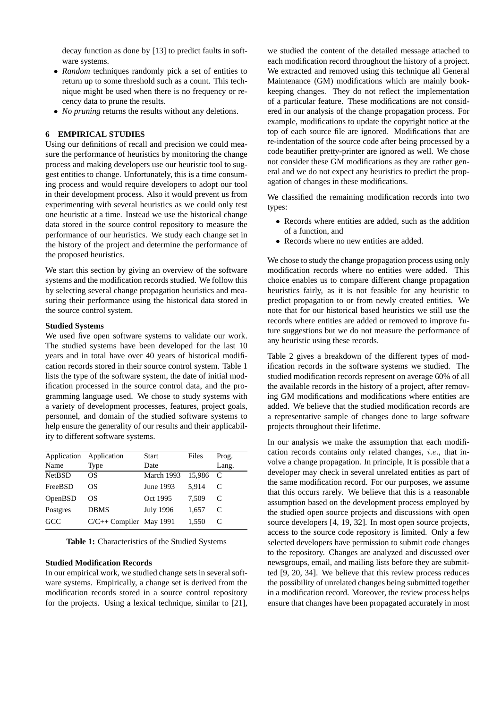decay function as done by [13] to predict faults in software systems.

- *Random* techniques randomly pick a set of entities to return up to some threshold such as a count. This technique might be used when there is no frequency or recency data to prune the results.
- *No pruning* returns the results without any deletions.

# **6 EMPIRICAL STUDIES**

Using our definitions of recall and precision we could measure the performance of heuristics by monitoring the change process and making developers use our heuristic tool to suggest entities to change. Unfortunately, this is a time consuming process and would require developers to adopt our tool in their development process. Also it would prevent us from experimenting with several heuristics as we could only test one heuristic at a time. Instead we use the historical change data stored in the source control repository to measure the performance of our heuristics. We study each change set in the history of the project and determine the performance of the proposed heuristics.

We start this section by giving an overview of the software systems and the modification records studied. We follow this by selecting several change propagation heuristics and measuring their performance using the historical data stored in the source control system.

# **Studied Systems**

We used five open software systems to validate our work. The studied systems have been developed for the last 10 years and in total have over 40 years of historical modification records stored in their source control system. Table 1 lists the type of the software system, the date of initial modification processed in the source control data, and the programming language used. We chose to study systems with a variety of development processes, features, project goals, personnel, and domain of the studied software systems to help ensure the generality of our results and their applicability to different software systems.

| Application   | Application               | <b>Start</b>     | Files  | Prog. |
|---------------|---------------------------|------------------|--------|-------|
| Name          | Type                      | Date             |        | Lang. |
| <b>NetBSD</b> | OS                        | March 1993       | 15.986 | - C   |
| FreeBSD       | OS                        | June 1993        | 5.914  | C     |
| OpenBSD       | OS                        | Oct 1995         | 7.509  | C     |
| Postgres      | <b>DBMS</b>               | <b>July 1996</b> | 1,657  | C     |
| GCC           | $C/C++$ Compiler May 1991 |                  | 1,550  | C     |

**Table 1:** Characteristics of the Studied Systems

#### **Studied Modification Records**

In our empirical work, we studied change sets in several software systems. Empirically, a change set is derived from the modification records stored in a source control repository for the projects. Using a lexical technique, similar to [21], we studied the content of the detailed message attached to each modification record throughout the history of a project. We extracted and removed using this technique all General Maintenance (GM) modifications which are mainly bookkeeping changes. They do not reflect the implementation of a particular feature. These modifications are not considered in our analysis of the change propagation process. For example, modifications to update the copyright notice at the top of each source file are ignored. Modifications that are re-indentation of the source code after being processed by a code beautifier pretty-printer are ignored as well. We chose not consider these GM modifications as they are rather general and we do not expect any heuristics to predict the propagation of changes in these modifications.

We classified the remaining modification records into two types:

- Records where entities are added, such as the addition of a function, and
- Records where no new entities are added.

We chose to study the change propagation process using only modification records where no entities were added. This choice enables us to compare different change propagation heuristics fairly, as it is not feasible for any heuristic to predict propagation to or from newly created entities. We note that for our historical based heuristics we still use the records where entities are added or removed to improve future suggestions but we do not measure the performance of any heuristic using these records.

Table 2 gives a breakdown of the different types of modification records in the software systems we studied. The studied modification records represent on average 60% of all the available records in the history of a project, after removing GM modifications and modifications where entities are added. We believe that the studied modification records are a representative sample of changes done to large software projects throughout their lifetime.

In our analysis we make the assumption that each modification records contains only related changes, i.e., that involve a change propagation. In principle, It is possible that a developer may check in several unrelated entities as part of the same modification record. For our purposes, we assume that this occurs rarely. We believe that this is a reasonable assumption based on the development process employed by the studied open source projects and discussions with open source developers [4, 19, 32]. In most open source projects, access to the source code repository is limited. Only a few selected developers have permission to submit code changes to the repository. Changes are analyzed and discussed over newsgroups, email, and mailing lists before they are submitted [9, 20, 34]. We believe that this review process reduces the possibility of unrelated changes being submitted together in a modification record. Moreover, the review process helps ensure that changes have been propagated accurately in most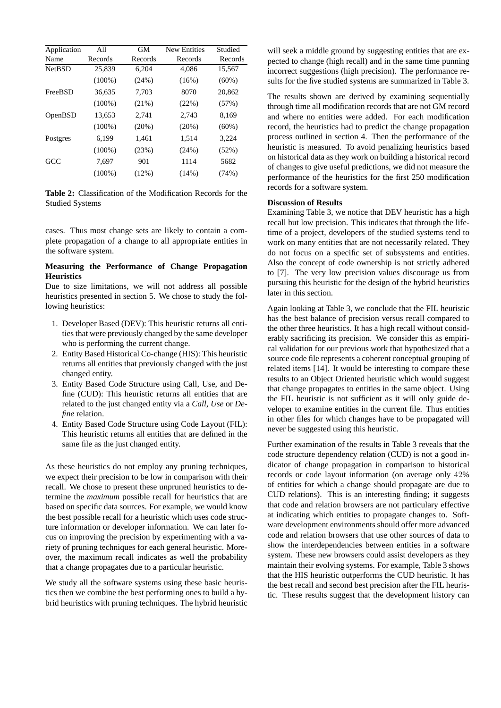| Application   | All       | <b>GM</b> | <b>New Entities</b> | Studied  |
|---------------|-----------|-----------|---------------------|----------|
| Name          | Records   | Records   | Records             | Records  |
| <b>NetBSD</b> | 25,839    | 6,204     | 4,086               | 15,567   |
|               | $(100\%)$ | (24%)     | (16%)               | $(60\%)$ |
| FreeBSD       | 36,635    | 7.703     | 8070                | 20,862   |
|               | $(100\%)$ | $(21\%)$  | (22%)               | (57%)    |
| OpenBSD       | 13,653    | 2.741     | 2.743               | 8,169    |
|               | $(100\%)$ | $(20\%)$  | $(20\%)$            | $(60\%)$ |
| Postgres      | 6.199     | 1,461     | 1,514               | 3,224    |
|               | $(100\%)$ | (23%)     | (24%)               | $(52\%)$ |
| GCC           | 7,697     | 901       | 1114                | 5682     |
|               | $(100\%)$ | $(12\%)$  | $(14\%)$            | (74%)    |

**Table 2:** Classification of the Modification Records for the Studied Systems

cases. Thus most change sets are likely to contain a complete propagation of a change to all appropriate entities in the software system.

#### **Measuring the Performance of Change Propagation Heuristics**

Due to size limitations, we will not address all possible heuristics presented in section 5. We chose to study the following heuristics:

- 1. Developer Based (DEV): This heuristic returns all entities that were previously changed by the same developer who is performing the current change.
- 2. Entity Based Historical Co-change (HIS): This heuristic returns all entities that previously changed with the just changed entity.
- 3. Entity Based Code Structure using Call, Use, and Define (CUD): This heuristic returns all entities that are related to the just changed entity via a *Call*, *Use* or *Define* relation.
- 4. Entity Based Code Structure using Code Layout (FIL): This heuristic returns all entities that are defined in the same file as the just changed entity.

As these heuristics do not employ any pruning techniques, we expect their precision to be low in comparison with their recall. We chose to present these unpruned heuristics to determine the *maximum* possible recall for heuristics that are based on specific data sources. For example, we would know the best possible recall for a heuristic which uses code structure information or developer information. We can later focus on improving the precision by experimenting with a variety of pruning techniques for each general heuristic. Moreover, the maximum recall indicates as well the probability that a change propagates due to a particular heuristic.

We study all the software systems using these basic heuristics then we combine the best performing ones to build a hybrid heuristics with pruning techniques. The hybrid heuristic will seek a middle ground by suggesting entities that are expected to change (high recall) and in the same time punning incorrect suggestions (high precision). The performance results for the five studied systems are summarized in Table 3.

The results shown are derived by examining sequentially through time all modification records that are not GM record and where no entities were added. For each modification record, the heuristics had to predict the change propagation process outlined in section 4. Then the performance of the heuristic is measured. To avoid penalizing heuristics based on historical data as they work on building a historical record of changes to give useful predictions, we did not measure the performance of the heuristics for the first 250 modification records for a software system.

# **Discussion of Results**

Examining Table 3, we notice that DEV heuristic has a high recall but low precision. This indicates that through the lifetime of a project, developers of the studied systems tend to work on many entities that are not necessarily related. They do not focus on a specific set of subsystems and entities. Also the concept of code ownership is not strictly adhered to [7]. The very low precision values discourage us from pursuing this heuristic for the design of the hybrid heuristics later in this section.

Again looking at Table 3, we conclude that the FIL heuristic has the best balance of precision versus recall compared to the other three heuristics. It has a high recall without considerably sacrificing its precision. We consider this as empirical validation for our previous work that hypothesized that a source code file represents a coherent conceptual grouping of related items [14]. It would be interesting to compare these results to an Object Oriented heuristic which would suggest that change propagates to entities in the same object. Using the FIL heuristic is not sufficient as it will only guide developer to examine entities in the current file. Thus entities in other files for which changes have to be propagated will never be suggested using this heuristic.

Further examination of the results in Table 3 reveals that the code structure dependency relation (CUD) is not a good indicator of change propagation in comparison to historical records or code layout information (on average only 42% of entities for which a change should propagate are due to CUD relations). This is an interesting finding; it suggests that code and relation browsers are not particulary effective at indicating which entities to propagate changes to. Software development environments should offer more advanced code and relation browsers that use other sources of data to show the interdependencies between entities in a software system. These new browsers could assist developers as they maintain their evolving systems. For example, Table 3 shows that the HIS heuristic outperforms the CUD heuristic. It has the best recall and second best precision after the FIL heuristic. These results suggest that the development history can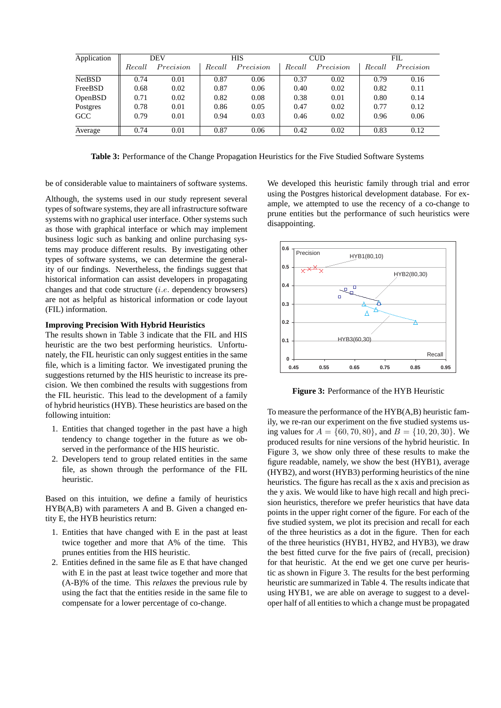| Application   | DEV    |           | <b>HIS</b> |           | <b>CUD</b> |           | FIL    |           |
|---------------|--------|-----------|------------|-----------|------------|-----------|--------|-----------|
|               | Recall | Precision | Recall     | Precision | Recall     | Precision | Recall | Precision |
| <b>NetBSD</b> | 0.74   | 0.01      | 0.87       | 0.06      | 0.37       | 0.02      | 0.79   | 0.16      |
| FreeBSD       | 0.68   | 0.02      | 0.87       | 0.06      | 0.40       | 0.02      | 0.82   | 0.11      |
| OpenBSD       | 0.71   | 0.02      | 0.82       | 0.08      | 0.38       | 0.01      | 0.80   | 0.14      |
| Postgres      | 0.78   | 0.01      | 0.86       | 0.05      | 0.47       | 0.02      | 0.77   | 0.12      |
| <b>GCC</b>    | 0.79   | 0.01      | 0.94       | 0.03      | 0.46       | 0.02      | 0.96   | 0.06      |
| Average       | 0.74   | 0.01      | 0.87       | 0.06      | 0.42       | 0.02      | 0.83   | 0.12      |

**Table 3:** Performance of the Change Propagation Heuristics for the Five Studied Software Systems

be of considerable value to maintainers of software systems.

Although, the systems used in our study represent several types of software systems, they are all infrastructure software systems with no graphical user interface. Other systems such as those with graphical interface or which may implement business logic such as banking and online purchasing systems may produce different results. By investigating other types of software systems, we can determine the generality of our findings. Nevertheless, the findings suggest that historical information can assist developers in propagating changes and that code structure (i.e. dependency browsers) are not as helpful as historical information or code layout (FIL) information.

#### **Improving Precision With Hybrid Heuristics**

The results shown in Table 3 indicate that the FIL and HIS heuristic are the two best performing heuristics. Unfortunately, the FIL heuristic can only suggest entities in the same file, which is a limiting factor. We investigated pruning the suggestions returned by the HIS heuristic to increase its precision. We then combined the results with suggestions from the FIL heuristic. This lead to the development of a family of hybrid heuristics (HYB). These heuristics are based on the following intuition:

- 1. Entities that changed together in the past have a high tendency to change together in the future as we observed in the performance of the HIS heuristic.
- 2. Developers tend to group related entities in the same file, as shown through the performance of the FIL heuristic.

Based on this intuition, we define a family of heuristics HYB(A,B) with parameters A and B. Given a changed entity E, the HYB heuristics return:

- 1. Entities that have changed with E in the past at least twice together and more that A% of the time. This prunes entities from the HIS heuristic.
- 2. Entities defined in the same file as E that have changed with E in the past at least twice together and more that (A-B)% of the time. This *relaxes* the previous rule by using the fact that the entities reside in the same file to compensate for a lower percentage of co-change.

We developed this heuristic family through trial and error using the Postgres historical development database. For example, we attempted to use the recency of a co-change to prune entities but the performance of such heuristics were disappointing.



**Figure 3:** Performance of the HYB Heuristic

To measure the performance of the HYB(A,B) heuristic family, we re-ran our experiment on the five studied systems using values for  $A = \{60, 70, 80\}$ , and  $B = \{10, 20, 30\}$ . We produced results for nine versions of the hybrid heuristic. In Figure 3, we show only three of these results to make the figure readable, namely, we show the best (HYB1), average (HYB2), and worst (HYB3) performing heuristics of the nine heuristics. The figure has recall as the x axis and precision as the y axis. We would like to have high recall and high precision heuristics, therefore we prefer heuristics that have data points in the upper right corner of the figure. For each of the five studied system, we plot its precision and recall for each of the three heuristics as a dot in the figure. Then for each of the three heuristics (HYB1, HYB2, and HYB3), we draw the best fitted curve for the five pairs of (recall, precision) for that heuristic. At the end we get one curve per heuristic as shown in Figure 3. The results for the best performing heuristic are summarized in Table 4. The results indicate that using HYB1, we are able on average to suggest to a developer half of all entities to which a change must be propagated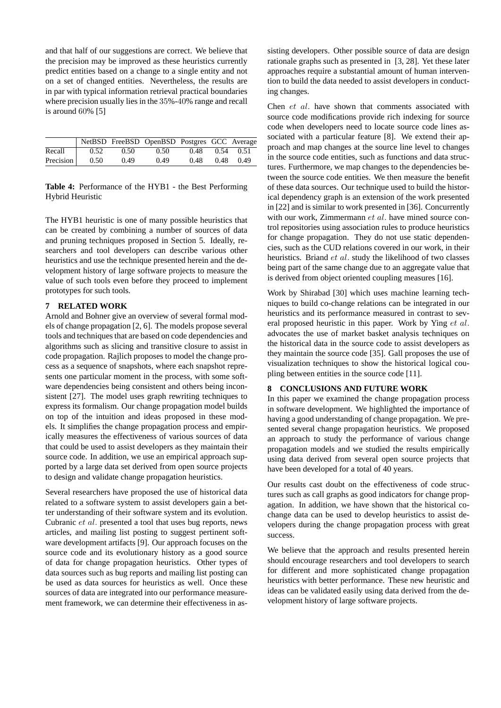and that half of our suggestions are correct. We believe that the precision may be improved as these heuristics currently predict entities based on a change to a single entity and not on a set of changed entities. Nevertheless, the results are in par with typical information retrieval practical boundaries where precision usually lies in the 35%-40% range and recall is around 60% [5]

|           |      |      | NetBSD FreeBSD OpenBSD Postgres GCC Average |      |      |      |
|-----------|------|------|---------------------------------------------|------|------|------|
| Recall    | 0.52 | 0.50 | 0.50                                        | 0.48 | 0.54 | 0.51 |
| Precision | 0.50 | 0.49 | 0.49                                        | 0.48 | 0.48 | 0.49 |

**Table 4:** Performance of the HYB1 - the Best Performing Hybrid Heuristic

The HYB1 heuristic is one of many possible heuristics that can be created by combining a number of sources of data and pruning techniques proposed in Section 5. Ideally, researchers and tool developers can describe various other heuristics and use the technique presented herein and the development history of large software projects to measure the value of such tools even before they proceed to implement prototypes for such tools.

# **7 RELATED WORK**

Arnold and Bohner give an overview of several formal models of change propagation [2, 6]. The models propose several tools and techniques that are based on code dependencies and algorithms such as slicing and transitive closure to assist in code propagation. Rajlich proposes to model the change process as a sequence of snapshots, where each snapshot represents one particular moment in the process, with some software dependencies being consistent and others being inconsistent [27]. The model uses graph rewriting techniques to express its formalism. Our change propagation model builds on top of the intuition and ideas proposed in these models. It simplifies the change propagation process and empirically measures the effectiveness of various sources of data that could be used to assist developers as they maintain their source code. In addition, we use an empirical approach supported by a large data set derived from open source projects to design and validate change propagation heuristics.

Several researchers have proposed the use of historical data related to a software system to assist developers gain a better understanding of their software system and its evolution. Cubranic et al. presented a tool that uses bug reports, news articles, and mailing list posting to suggest pertinent software development artifacts [9]. Our approach focuses on the source code and its evolutionary history as a good source of data for change propagation heuristics. Other types of data sources such as bug reports and mailing list posting can be used as data sources for heuristics as well. Once these sources of data are integrated into our performance measurement framework, we can determine their effectiveness in assisting developers. Other possible source of data are design rationale graphs such as presented in [3, 28]. Yet these later approaches require a substantial amount of human intervention to build the data needed to assist developers in conducting changes.

Chen et al. have shown that comments associated with source code modifications provide rich indexing for source code when developers need to locate source code lines associated with a particular feature [8]. We extend their approach and map changes at the source line level to changes in the source code entities, such as functions and data structures. Furthermore, we map changes to the dependencies between the source code entities. We then measure the benefit of these data sources. Our technique used to build the historical dependency graph is an extension of the work presented in [22] and is similar to work presented in [36]. Concurrently with our work, Zimmermann et al. have mined source control repositories using association rules to produce heuristics for change propagation. They do not use static dependencies, such as the CUD relations covered in our work, in their heuristics. Briand et al. study the likelihood of two classes being part of the same change due to an aggregate value that is derived from object oriented coupling measures [16].

Work by Shirabad [30] which uses machine learning techniques to build co-change relations can be integrated in our heuristics and its performance measured in contrast to several proposed heuristic in this paper. Work by Ying et al. advocates the use of market basket analysis techniques on the historical data in the source code to assist developers as they maintain the source code [35]. Gall proposes the use of visualization techniques to show the historical logical coupling between entities in the source code [11].

#### **8 CONCLUSIONS AND FUTURE WORK**

In this paper we examined the change propagation process in software development. We highlighted the importance of having a good understanding of change propagation. We presented several change propagation heuristics. We proposed an approach to study the performance of various change propagation models and we studied the results empirically using data derived from several open source projects that have been developed for a total of 40 years.

Our results cast doubt on the effectiveness of code structures such as call graphs as good indicators for change propagation. In addition, we have shown that the historical cochange data can be used to develop heuristics to assist developers during the change propagation process with great success.

We believe that the approach and results presented herein should encourage researchers and tool developers to search for different and more sophisticated change propagation heuristics with better performance. These new heuristic and ideas can be validated easily using data derived from the development history of large software projects.